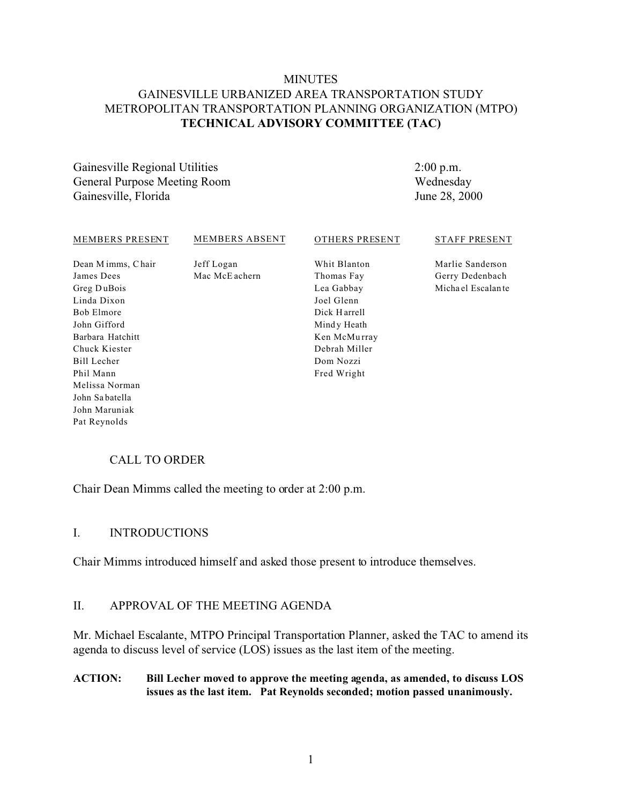# **MINUTES** GAINESVILLE URBANIZED AREA TRANSPORTATION STUDY METROPOLITAN TRANSPORTATION PLANNING ORGANIZATION (MTPO) **TECHNICAL ADVISORY COMMITTEE (TAC)**

Gainesville Regional Utilities General Purpose Meeting Room Gainesville, Florida

2:00 p.m. Wednesday June 28, 2000

| <b>MEMBERS PRESENT</b> | <b>MEMBERS ABSENT</b> | <b>OTHERS PRESENT</b> | <b>STAFF PRESENT</b> |
|------------------------|-----------------------|-----------------------|----------------------|
| Dean M imms, Chair     | Jeff Logan            | Whit Blanton          | Marlie Sanderson     |
| James Dees             | Mac McEachern         | Thomas Fay            | Gerry Dedenbach      |
| Greg DuBois            |                       | Lea Gabbay            | Michael Escalante    |
| Linda Dixon            |                       | Joel Glenn            |                      |
| Bob Elmore             |                       | Dick Harrell          |                      |
| John Gifford           |                       | Mindy Heath           |                      |
| Barbara Hatchitt       |                       | Ken McMurray          |                      |
| Chuck Kiester          |                       | Debrah Miller         |                      |
| <b>Bill Lecher</b>     |                       | Dom Nozzi             |                      |
| Phil Mann              |                       | Fred Wright           |                      |
| Melissa Norman         |                       |                       |                      |

### CALL TO ORDER

Chair Dean Mimms called the meeting to order at 2:00 p.m.

#### I. INTRODUCTIONS

John Sa batella John Maruniak Pat Reynolds

Chair Mimms introduced himself and asked those present to introduce themselves.

## II. APPROVAL OF THE MEETING AGENDA

Mr. Michael Escalante, MTPO Principal Transportation Planner, asked the TAC to amend its agenda to discuss level of service (LOS) issues as the last item of the meeting.

**ACTION: Bill Lecher moved to approve the meeting agenda, as amended, to discuss LOS issues as the last item. Pat Reynolds seconded; motion passed unanimously.**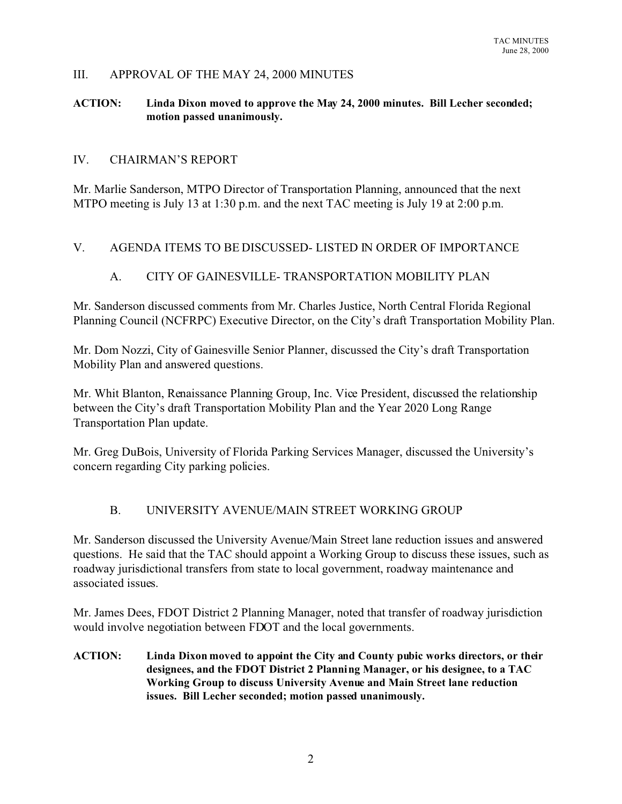## III. APPROVAL OF THE MAY 24, 2000 MINUTES

#### **ACTION: Linda Dixon moved to approve the May 24, 2000 minutes. Bill Lecher seconded; motion passed unanimously.**

### IV. CHAIRMAN'S REPORT

Mr. Marlie Sanderson, MTPO Director of Transportation Planning, announced that the next MTPO meeting is July 13 at 1:30 p.m. and the next TAC meeting is July 19 at 2:00 p.m.

### V. AGENDA ITEMS TO BE DISCUSSED- LISTED IN ORDER OF IMPORTANCE

## A. CITY OF GAINESVILLE- TRANSPORTATION MOBILITY PLAN

Mr. Sanderson discussed comments from Mr. Charles Justice, North Central Florida Regional Planning Council (NCFRPC) Executive Director, on the City's draft Transportation Mobility Plan.

Mr. Dom Nozzi, City of Gainesville Senior Planner, discussed the City's draft Transportation Mobility Plan and answered questions.

Mr. Whit Blanton, Renaissance Planning Group, Inc. Vice President, discussed the relationship between the City's draft Transportation Mobility Plan and the Year 2020 Long Range Transportation Plan update.

Mr. Greg DuBois, University of Florida Parking Services Manager, discussed the University's concern regarding City parking policies.

# B. UNIVERSITY AVENUE/MAIN STREET WORKING GROUP

Mr. Sanderson discussed the University Avenue/Main Street lane reduction issues and answered questions. He said that the TAC should appoint a Working Group to discuss these issues, such as roadway jurisdictional transfers from state to local government, roadway maintenance and associated issues.

Mr. James Dees, FDOT District 2 Planning Manager, noted that transfer of roadway jurisdiction would involve negotiation between FDOT and the local governments.

**ACTION: Linda Dixon moved to appoint the City and County pubic works directors, or their designees, and the FDOT District 2 Planning Manager, or his designee, to a TAC Working Group to discuss University Avenue and Main Street lane reduction issues. Bill Lecher seconded; motion passed unanimously.**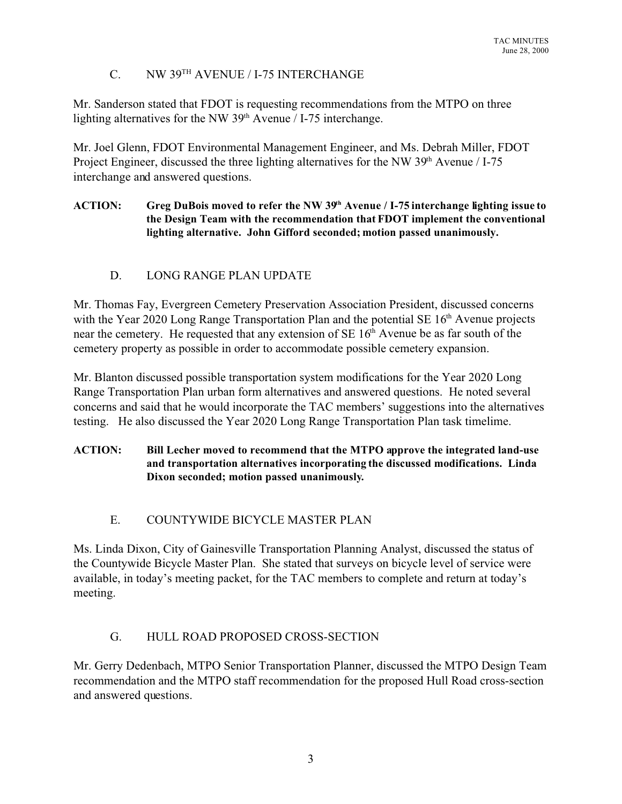# C. NW 39TH AVENUE / I-75 INTERCHANGE

Mr. Sanderson stated that FDOT is requesting recommendations from the MTPO on three lighting alternatives for the NW 39<sup>th</sup> Avenue / I-75 interchange.

Mr. Joel Glenn, FDOT Environmental Management Engineer, and Ms. Debrah Miller, FDOT Project Engineer, discussed the three lighting alternatives for the NW 39<sup>th</sup> Avenue / I-75 interchange and answered questions.

## **ACTION: Greg DuBois moved to refer the NW 39th Avenue / I-75 interchange lighting issue to the Design Team with the recommendation that FDOT implement the conventional lighting alternative. John Gifford seconded; motion passed unanimously.**

# D. LONG RANGE PLAN UPDATE

Mr. Thomas Fay, Evergreen Cemetery Preservation Association President, discussed concerns with the Year 2020 Long Range Transportation Plan and the potential SE 16<sup>th</sup> Avenue projects near the cemetery. He requested that any extension of SE 16<sup>th</sup> Avenue be as far south of the cemetery property as possible in order to accommodate possible cemetery expansion.

Mr. Blanton discussed possible transportation system modifications for the Year 2020 Long Range Transportation Plan urban form alternatives and answered questions. He noted several concerns and said that he would incorporate the TAC members' suggestions into the alternatives testing. He also discussed the Year 2020 Long Range Transportation Plan task timelime.

### **ACTION: Bill Lecher moved to recommend that the MTPO approve the integrated land-use and transportation alternatives incorporating the discussed modifications. Linda Dixon seconded; motion passed unanimously.**

# E. COUNTYWIDE BICYCLE MASTER PLAN

Ms. Linda Dixon, City of Gainesville Transportation Planning Analyst, discussed the status of the Countywide Bicycle Master Plan. She stated that surveys on bicycle level of service were available, in today's meeting packet, for the TAC members to complete and return at today's meeting.

### G. HULL ROAD PROPOSED CROSS-SECTION

Mr. Gerry Dedenbach, MTPO Senior Transportation Planner, discussed the MTPO Design Team recommendation and the MTPO staff recommendation for the proposed Hull Road cross-section and answered questions.